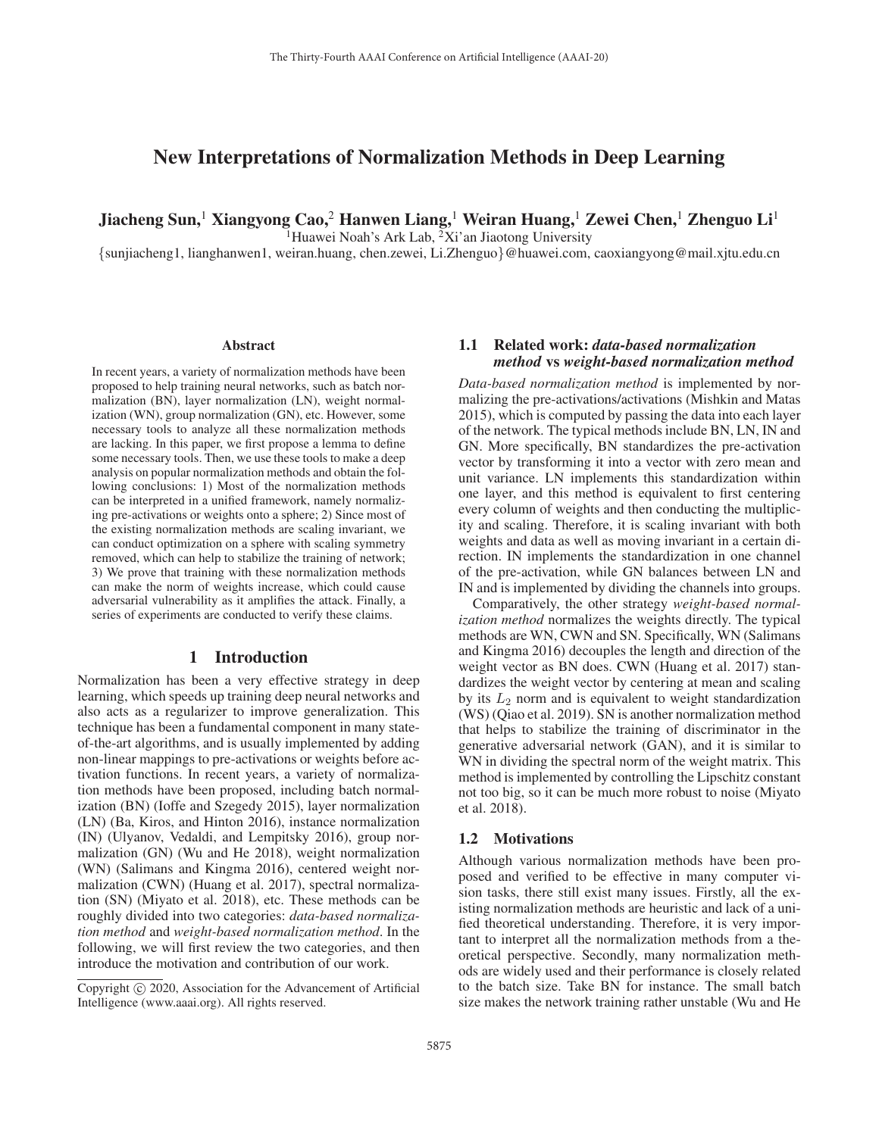# New Interpretations of Normalization Methods in Deep Learning

Jiacheng Sun,<sup>1</sup> Xiangyong Cao,<sup>2</sup> Hanwen Liang,<sup>1</sup> Weiran Huang,<sup>1</sup> Zewei Chen,<sup>1</sup> Zhenguo Li<sup>1</sup>

<sup>1</sup>Huawei Noah's Ark Lab,  ${}^{2}\text{Xi}'$  an Jiaotong University

{sunjiacheng1, lianghanwen1, weiran.huang, chen.zewei, Li.Zhenguo}@huawei.com, caoxiangyong@mail.xjtu.edu.cn

#### Abstract

In recent years, a variety of normalization methods have been proposed to help training neural networks, such as batch normalization (BN), layer normalization (LN), weight normalization (WN), group normalization (GN), etc. However, some necessary tools to analyze all these normalization methods are lacking. In this paper, we first propose a lemma to define some necessary tools. Then, we use these tools to make a deep analysis on popular normalization methods and obtain the following conclusions: 1) Most of the normalization methods can be interpreted in a unified framework, namely normalizing pre-activations or weights onto a sphere; 2) Since most of the existing normalization methods are scaling invariant, we can conduct optimization on a sphere with scaling symmetry removed, which can help to stabilize the training of network; 3) We prove that training with these normalization methods can make the norm of weights increase, which could cause adversarial vulnerability as it amplifies the attack. Finally, a series of experiments are conducted to verify these claims.

# 1 Introduction

Normalization has been a very effective strategy in deep learning, which speeds up training deep neural networks and also acts as a regularizer to improve generalization. This technique has been a fundamental component in many stateof-the-art algorithms, and is usually implemented by adding non-linear mappings to pre-activations or weights before activation functions. In recent years, a variety of normalization methods have been proposed, including batch normalization (BN) (Ioffe and Szegedy 2015), layer normalization (LN) (Ba, Kiros, and Hinton 2016), instance normalization (IN) (Ulyanov, Vedaldi, and Lempitsky 2016), group normalization (GN) (Wu and He 2018), weight normalization (WN) (Salimans and Kingma 2016), centered weight normalization (CWN) (Huang et al. 2017), spectral normalization (SN) (Miyato et al. 2018), etc. These methods can be roughly divided into two categories: *data-based normalization method* and *weight-based normalization method*. In the following, we will first review the two categories, and then introduce the motivation and contribution of our work.

# 1.1 Related work: *data-based normalization method* vs *weight-based normalization method*

*Data-based normalization method* is implemented by normalizing the pre-activations/activations (Mishkin and Matas 2015), which is computed by passing the data into each layer of the network. The typical methods include BN, LN, IN and GN. More specifically, BN standardizes the pre-activation vector by transforming it into a vector with zero mean and unit variance. LN implements this standardization within one layer, and this method is equivalent to first centering every column of weights and then conducting the multiplicity and scaling. Therefore, it is scaling invariant with both weights and data as well as moving invariant in a certain direction. IN implements the standardization in one channel of the pre-activation, while GN balances between LN and IN and is implemented by dividing the channels into groups.

Comparatively, the other strategy *weight-based normalization method* normalizes the weights directly. The typical methods are WN, CWN and SN. Specifically, WN (Salimans and Kingma 2016) decouples the length and direction of the weight vector as BN does. CWN (Huang et al. 2017) standardizes the weight vector by centering at mean and scaling by its  $L_2$  norm and is equivalent to weight standardization (WS) (Qiao et al. 2019). SN is another normalization method that helps to stabilize the training of discriminator in the generative adversarial network (GAN), and it is similar to WN in dividing the spectral norm of the weight matrix. This method is implemented by controlling the Lipschitz constant not too big, so it can be much more robust to noise (Miyato et al. 2018).

#### 1.2 Motivations

Although various normalization methods have been proposed and verified to be effective in many computer vision tasks, there still exist many issues. Firstly, all the existing normalization methods are heuristic and lack of a unified theoretical understanding. Therefore, it is very important to interpret all the normalization methods from a theoretical perspective. Secondly, many normalization methods are widely used and their performance is closely related to the batch size. Take BN for instance. The small batch size makes the network training rather unstable (Wu and He

Copyright  $\odot$  2020, Association for the Advancement of Artificial Intelligence (www.aaai.org). All rights reserved.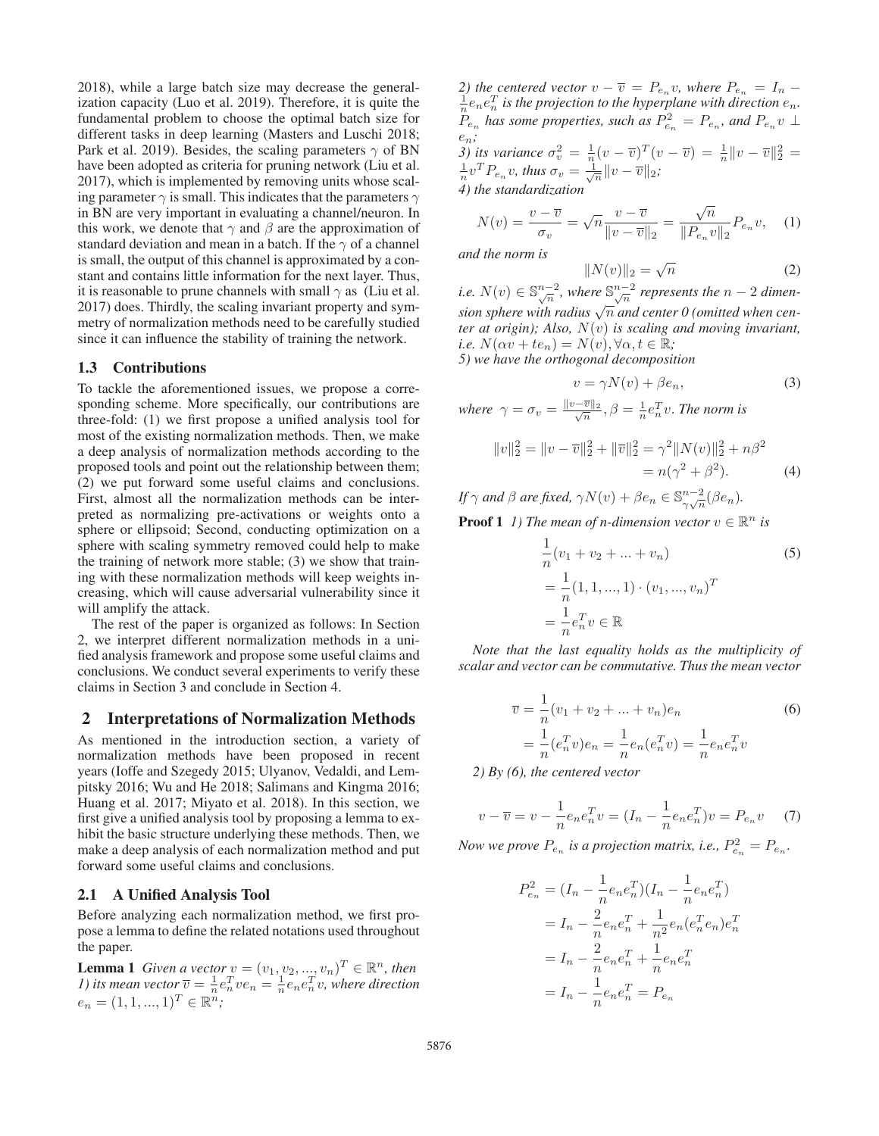2018), while a large batch size may decrease the generalization capacity (Luo et al. 2019). Therefore, it is quite the fundamental problem to choose the optimal batch size for different tasks in deep learning (Masters and Luschi 2018; Park et al. 2019). Besides, the scaling parameters  $\gamma$  of BN have been adopted as criteria for pruning network (Liu et al. 2017), which is implemented by removing units whose scaling parameter  $\gamma$  is small. This indicates that the parameters  $\gamma$ in BN are very important in evaluating a channel/neuron. In this work, we denote that  $\gamma$  and  $\beta$  are the approximation of standard deviation and mean in a batch. If the  $\gamma$  of a channel is small, the output of this channel is approximated by a constant and contains little information for the next layer. Thus, it is reasonable to prune channels with small  $\gamma$  as (Liu et al. 2017) does. Thirdly, the scaling invariant property and symmetry of normalization methods need to be carefully studied since it can influence the stability of training the network.

### 1.3 Contributions

To tackle the aforementioned issues, we propose a corresponding scheme. More specifically, our contributions are three-fold: (1) we first propose a unified analysis tool for most of the existing normalization methods. Then, we make a deep analysis of normalization methods according to the proposed tools and point out the relationship between them; (2) we put forward some useful claims and conclusions. First, almost all the normalization methods can be interpreted as normalizing pre-activations or weights onto a sphere or ellipsoid; Second, conducting optimization on a sphere with scaling symmetry removed could help to make the training of network more stable; (3) we show that training with these normalization methods will keep weights increasing, which will cause adversarial vulnerability since it will amplify the attack.

The rest of the paper is organized as follows: In Section 2, we interpret different normalization methods in a unified analysis framework and propose some useful claims and conclusions. We conduct several experiments to verify these claims in Section 3 and conclude in Section 4.

## 2 Interpretations of Normalization Methods

As mentioned in the introduction section, a variety of normalization methods have been proposed in recent years (Ioffe and Szegedy 2015; Ulyanov, Vedaldi, and Lempitsky 2016; Wu and He 2018; Salimans and Kingma 2016; Huang et al. 2017; Miyato et al. 2018). In this section, we first give a unified analysis tool by proposing a lemma to exhibit the basic structure underlying these methods. Then, we make a deep analysis of each normalization method and put forward some useful claims and conclusions.

#### 2.1 A Unified Analysis Tool

Before analyzing each normalization method, we first propose a lemma to define the related notations used throughout the paper.

**Lemma 1** *Given a vector*  $v = (v_1, v_2, ..., v_n)^T \in \mathbb{R}^n$ , then *1) its mean vector*  $\overline{v} = \frac{1}{n} e_n^T v e_n = \frac{1}{n} e_n e_n^T v$ , where direction  $e_n = (1, 1, ..., 1)^T \in \mathbb{R}^n;$ 

*2)* the centered vector  $v - \overline{v} = P_{e_n} v$ , where  $P_{e_n} = I_n - \frac{1}{n} e_n e_n^T$  is the projection to the hyperplane with direction  $e_n$ .  $P_{e_n}$  has some properties, such as  $P_{e_n}^2 = P_{e_n}$ , and  $P_{e_n}v \perp$ en*; 3) its variance*  $\sigma_v^2 = \frac{1}{n}(v - \overline{v})^T(v - \overline{v}) = \frac{1}{n}||v - \overline{v}||_2^2 = \frac{1}{n}v^T P_{e_n}v$ , thus  $\sigma_v = \frac{1}{\sqrt{n}}||v - \overline{v}||_2$ ;

*4) the standardization*

$$
N(v) = \frac{v - \overline{v}}{\sigma_v} = \sqrt{n} \frac{v - \overline{v}}{\|v - \overline{v}\|_2} = \frac{\sqrt{n}}{\|P_{e_n}v\|_2} P_{e_n}v, \quad (1)
$$

*and the norm is*

$$
||N(v)||_2 = \sqrt{n}
$$
 (2)

*i.e.*  $N(v) \in \mathbb{S}_{\sqrt{n}}^{n-2}$ , where  $\mathbb{S}_{\sqrt{n}}^{n-2}$  represents the  $n-2$  dimen*sion sphere with radius*  $\sqrt{n}$  *and center 0 (omitted when center at origin); Also,* N(v) *is scaling and moving invariant, i.e.*  $N(\alpha v + t e_n) = N(v), \forall \alpha, t \in \mathbb{R}$ ;

*5) we have the orthogonal decomposition*

$$
v = \gamma N(v) + \beta e_n,\tag{3}
$$

where  $\gamma = \sigma_v = \frac{\|v - \overline{v}\|_2}{\sqrt{n}}, \beta = \frac{1}{n} e_n^T v$ . *The norm is* 

$$
||v||_2^2 = ||v - \overline{v}||_2^2 + ||\overline{v}||_2^2 = \gamma^2 ||N(v)||_2^2 + n\beta^2
$$
  
=  $n(\gamma^2 + \beta^2)$ . (4)

*If*  $\gamma$  *and*  $\beta$  *are fixed,*  $\gamma N(v) + \beta e_n \in \mathbb{S}_{\gamma\sqrt{n}}^{n-2}(\beta e_n)$ *.* 

**Proof 1** *1) The mean of n-dimension vector*  $v \in \mathbb{R}^n$  *is* 

$$
\frac{1}{n}(v_1 + v_2 + \dots + v_n)
$$
\n
$$
= \frac{1}{n}(1, 1, \dots, 1) \cdot (v_1, \dots, v_n)^T
$$
\n
$$
= \frac{1}{n}e_n^T v \in \mathbb{R}
$$
\n(5)

*Note that the last equality holds as the multiplicity of scalar and vector can be commutative. Thus the mean vector*

$$
\overline{v} = \frac{1}{n}(v_1 + v_2 + \dots + v_n)e_n
$$
  
=  $\frac{1}{n}(e_n^T v)e_n = \frac{1}{n}e_n(e_n^T v) = \frac{1}{n}e_ne_n^Tv$   
(6) the output vector

*2) By (6), the centered vector*

$$
v - \overline{v} = v - \frac{1}{n} e_n e_n^T v = (I_n - \frac{1}{n} e_n e_n^T) v = P_{e_n} v \tag{7}
$$

*Now we prove*  $P_{e_n}$  *is a projection matrix, i.e.,*  $P_{e_n}^2 = P_{e_n}$ *.* 

$$
P_{e_n}^2 = (I_n - \frac{1}{n}e_n e_n^T)(I_n - \frac{1}{n}e_n e_n^T)
$$
  
=  $I_n - \frac{2}{n}e_n e_n^T + \frac{1}{n^2}e_n (e_n^T e_n) e_n^T$   
=  $I_n - \frac{2}{n}e_n e_n^T + \frac{1}{n}e_n e_n^T$   
=  $I_n - \frac{1}{n}e_n e_n^T = P_{e_n}$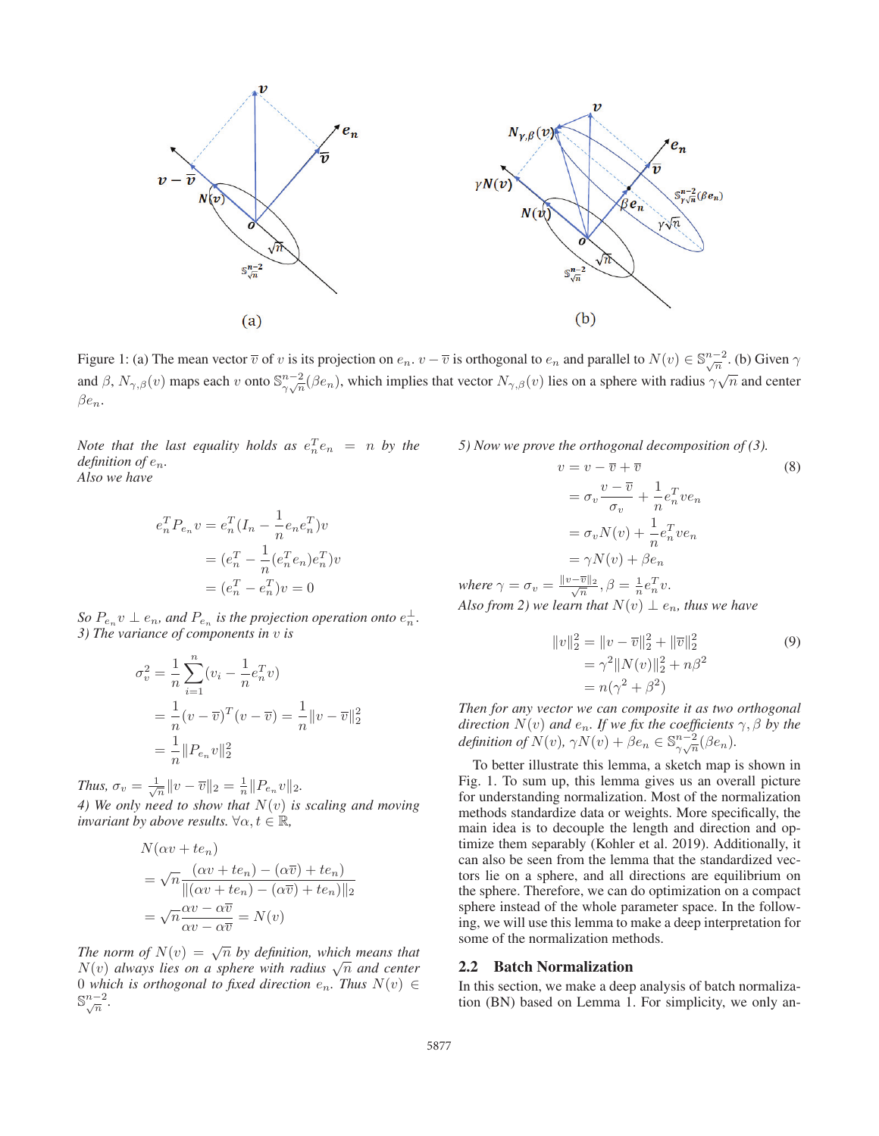

Figure 1: (a) The mean vector  $\overline{v}$  of v is its projection on  $e_n$ .  $v - \overline{v}$  is orthogonal to  $e_n$  and parallel to  $N(v) \in \mathbb{S}_{\sqrt{n}}^{n-2}$ . (b) Given  $\gamma$ and  $\beta$ ,  $N_{\gamma,\beta}(v)$  maps each v onto  $\mathbb{S}^{n-2}_{\gamma\gamma\overline{n}}(\beta e_n)$ , which implies that vector  $N_{\gamma,\beta}(v)$  lies on a sphere with radius  $\gamma\sqrt{n}$  and center  $\beta e_n$ .

*Note that the last equality holds as*  $e_n^T e_n = n$  *by the definition of* en*. Also we have*

$$
e_n^T P_{e_n} v = e_n^T (I_n - \frac{1}{n} e_n e_n^T) v
$$
  
= 
$$
(e_n^T - \frac{1}{n} (e_n^T e_n) e_n^T) v
$$
  
= 
$$
(e_n^T - e_n^T) v = 0
$$

*So*  $P_{e_n} v \perp e_n$ , and  $P_{e_n}$  *is the projection operation onto*  $e_n^{\perp}$ . *3) The variance of components in* v *is*

$$
\sigma_v^2 = \frac{1}{n} \sum_{i=1}^n (v_i - \frac{1}{n} e_n^T v)
$$
  
=  $\frac{1}{n} (v - \overline{v})^T (v - \overline{v}) = \frac{1}{n} ||v - \overline{v}||_2^2$   
=  $\frac{1}{n} ||P_{e_n} v||_2^2$ 

*Thus,*  $\sigma_v = \frac{1}{\sqrt{n}} ||v - \overline{v}||_2 = \frac{1}{n} ||P_{e_n}v||_2.$ *4) We only need to show that* N(v) *is scaling and moving invariant by above results.*  $\forall \alpha, t \in \mathbb{R}$ ,

$$
N(\alpha v + te_n)
$$
  
=  $\sqrt{n} \frac{(\alpha v + te_n) - (\alpha \overline{v}) + te_n)}{||( \alpha v + te_n) - (\alpha \overline{v}) + te_n)||_2}$   
=  $\sqrt{n} \frac{\alpha v - \alpha \overline{v}}{\alpha v - \alpha \overline{v}} = N(v)$ 

*The norm of*  $N(v) = \sqrt{n}$  *by definition, which means that*  $N(v)$  *always lies on a sphere with radius*  $\sqrt{n}$  *and center* 0 *which is orthogonal to fixed direction*  $e_n$ . Thus  $N(v) \in$  $\mathbb{S}_{\sqrt{n}}^{n-2}$ .

*5) Now we prove the orthogonal decomposition of (3).*

$$
v = v - \overline{v} + \overline{v}
$$
\n
$$
= \sigma_v \frac{v - \overline{v}}{\sigma_v} + \frac{1}{n} e_n^T v e_n
$$
\n
$$
= \sigma_v N(v) + \frac{1}{n} e_n^T v e_n
$$
\n
$$
= \gamma N(v) + \beta e_n
$$
\n
$$
\|v - \overline{v}\|_2 \quad 2 = 1 \quad T
$$
\n(8)

where  $\gamma = \sigma_v = \frac{\|v - \overline{v}\|_2}{\sqrt{n}}, \beta = \frac{1}{n} e_n^T v.$ *Also from 2) we learn that*  $N(v) \perp e_n$ *, thus we have* 

$$
||v||_2^2 = ||v - \overline{v}||_2^2 + ||\overline{v}||_2^2
$$
  
=  $\gamma^2 ||N(v)||_2^2 + n\beta^2$   
=  $n(\gamma^2 + \beta^2)$  (9)

*Then for any vector we can composite it as two orthogonal direction*  $N(v)$  *and*  $e_n$ *. If we fix the coefficients*  $\gamma$ *,*  $\beta$  *by the* definition of  $N(v)$ ,  $\gamma N(v) + \beta e_n \in \mathbb{S}_{\gamma\sqrt{n}}^{n-2}(\beta e_n)$ .

To better illustrate this lemma, a sketch map is shown in Fig. 1. To sum up, this lemma gives us an overall picture for understanding normalization. Most of the normalization methods standardize data or weights. More specifically, the main idea is to decouple the length and direction and optimize them separably (Kohler et al. 2019). Additionally, it can also be seen from the lemma that the standardized vectors lie on a sphere, and all directions are equilibrium on the sphere. Therefore, we can do optimization on a compact sphere instead of the whole parameter space. In the following, we will use this lemma to make a deep interpretation for some of the normalization methods.

#### 2.2 Batch Normalization

In this section, we make a deep analysis of batch normalization (BN) based on Lemma 1. For simplicity, we only an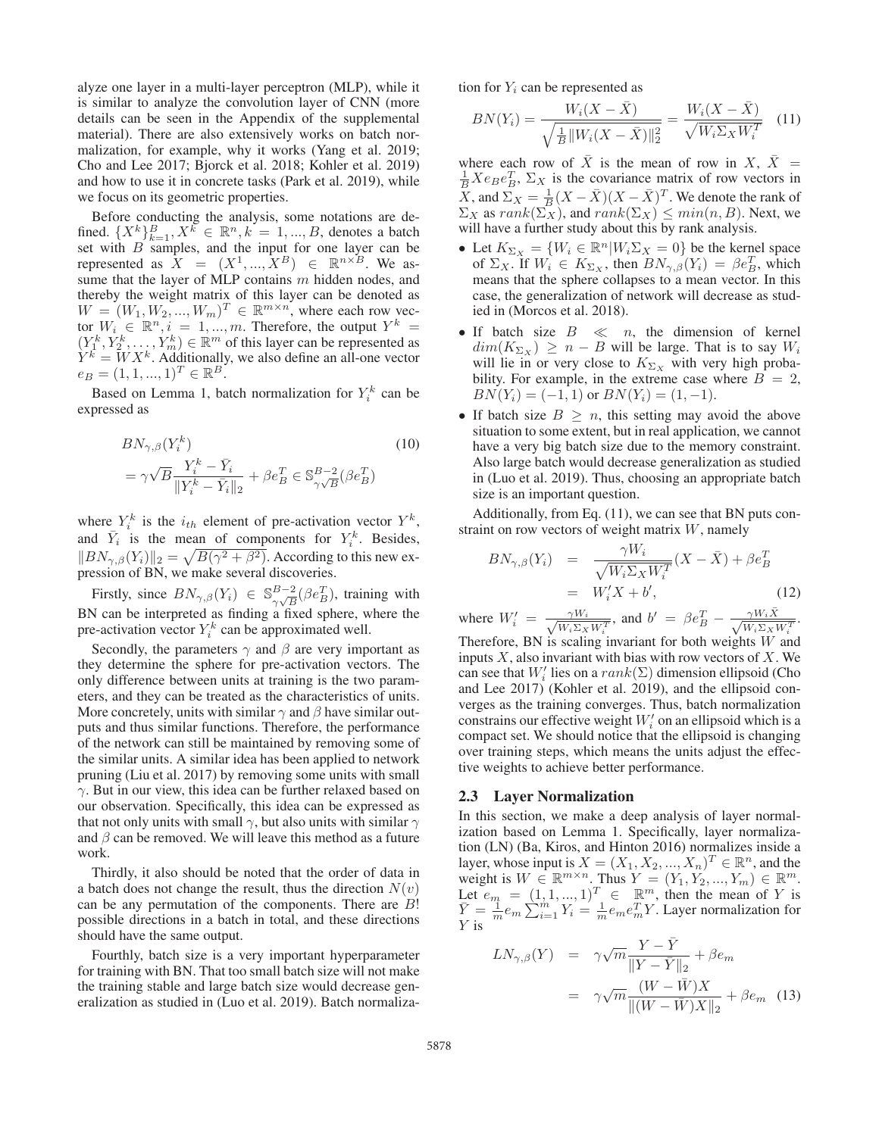alyze one layer in a multi-layer perceptron (MLP), while it is similar to analyze the convolution layer of CNN (more details can be seen in the Appendix of the supplemental material). There are also extensively works on batch normalization, for example, why it works (Yang et al. 2019; Cho and Lee 2017; Bjorck et al. 2018; Kohler et al. 2019) and how to use it in concrete tasks (Park et al. 2019), while we focus on its geometric properties.

Before conducting the analysis, some notations are defined.  $\{X^k\}_{k=1}^B, X^k \in \mathbb{R}^n, k = 1, ..., B$ , denotes a batch set with  $B$  samples, and the input for one layer can be represented as  $\hat{X} = (X^1, ..., X^B) \in \mathbb{R}^{n \times B}$ . We assume that the layer of MLP contains m hidden nodes, and thereby the weight matrix of this layer can be denoted as  $W = (W_1, W_2, ..., W_m)^T \in \mathbb{R}^{m \times n}$ , where each row vector  $W_i \in \mathbb{R}^n, i = 1, ..., m$ . Therefore, the output  $Y^k =$  $(Y_1^k, Y_2^k, \ldots, Y_m^k) \in \mathbb{R}^m$  of this layer can be represented as  $Y^k = W X^k$ . Additionally, we also define an all-one vector  $e_B = (1, 1, ..., 1)^T \in \mathbb{R}^B$ .

Based on Lemma 1, batch normalization for  $Y_i^k$  can be expressed as

$$
BN_{\gamma,\beta}(Y_i^k)
$$
  
=  $\gamma \sqrt{B} \frac{Y_i^k - \bar{Y}_i}{\|Y_i^k - \bar{Y}_i\|_2} + \beta e_B^T \in \mathbb{S}_{\gamma \sqrt{B}}^{B-2}(\beta e_B^T)$  (10)

where  $Y_i^k$  is the  $i_{th}$  element of pre-activation vector  $Y^k$ , and  $\overline{Y}_i$  is the mean of components for  $Y_i^k$ . Besides,  $\|BN_{\gamma,\beta}(Y_i)\|_2 = \sqrt{B(\gamma^2 + \beta^2)}$ . According to this new expression of BN, we make several discoveries.

Firstly, since  $BN_{\gamma,\beta}(Y_i) \in \mathbb{S}^{B-2}_{\gamma\sqrt{B}}(\beta e^T_B)$ , training with BN can be interpreted as finding a fixed sphere, where the pre-activation vector  $Y_i^k$  can be approximated well.

Secondly, the parameters  $\gamma$  and  $\beta$  are very important as they determine the sphere for pre-activation vectors. The only difference between units at training is the two parameters, and they can be treated as the characteristics of units. More concretely, units with similar  $\gamma$  and  $\beta$  have similar outputs and thus similar functions. Therefore, the performance of the network can still be maintained by removing some of the similar units. A similar idea has been applied to network pruning (Liu et al. 2017) by removing some units with small  $\gamma$ . But in our view, this idea can be further relaxed based on our observation. Specifically, this idea can be expressed as that not only units with small  $\gamma$ , but also units with similar  $\gamma$ and  $\beta$  can be removed. We will leave this method as a future work.

Thirdly, it also should be noted that the order of data in a batch does not change the result, thus the direction  $N(v)$ can be any permutation of the components. There are B! possible directions in a batch in total, and these directions should have the same output.

Fourthly, batch size is a very important hyperparameter for training with BN. That too small batch size will not make the training stable and large batch size would decrease generalization as studied in (Luo et al. 2019). Batch normalization for  $Y_i$  can be represented as

$$
BN(Y_i) = \frac{W_i(X - \bar{X})}{\sqrt{\frac{1}{B} ||W_i(X - \bar{X})||_2^2}} = \frac{W_i(X - \bar{X})}{\sqrt{W_i \Sigma_X W_i^T}} \quad (11)
$$

where each row of  $\overline{X}$  is the mean of row in  $X$ ,  $\overline{X}$  =  $\frac{1}{B} Xe_Be_B^T$ ,  $\Sigma_X$  is the covariance matrix of row vectors in  $\overline{X}$ , and  $\Sigma_X = \frac{1}{B}(X - \overline{X})(X - \overline{X})^T$ . We denote the rank of  $\Sigma_X$  as  $rank(\Sigma_X)$ , and  $rank(\Sigma_X) \leq min(n, B)$ . Next, we will have a further study about this by rank analysis.

- Let  $K_{\Sigma_X} = \{W_i \in \mathbb{R}^n | W_i \Sigma_X = 0\}$  be the kernel space of  $\Sigma_X$ . If  $W_i \in K_{\Sigma_X}$ , then  $BN_{\gamma,\beta}(Y_i) = \beta e_B^T$ , which means that the sphere collapses to a mean vector. In this case, the generalization of network will decrease as studied in (Morcos et al. 2018).
- If batch size  $B \ll n$ , the dimension of kernel  $dim(K_{\Sigma_X}) \geq n - B$  will be large. That is to say  $W_i$ will lie in or very close to  $K_{\Sigma_X}$  with very high probability. For example, in the extreme case where  $B = 2$ ,  $BN(Y_i)=(-1, 1)$  or  $BN(Y_i)=(1, -1).$
- If batch size  $B \geq n$ , this setting may avoid the above situation to some extent, but in real application, we cannot have a very big batch size due to the memory constraint. Also large batch would decrease generalization as studied in (Luo et al. 2019). Thus, choosing an appropriate batch size is an important question.

Additionally, from Eq. (11), we can see that BN puts constraint on row vectors of weight matrix  $W$ , namely

$$
BN_{\gamma,\beta}(Y_i) = \frac{\gamma W_i}{\sqrt{W_i \Sigma_X W_i^T}} (X - \bar{X}) + \beta e_B^T
$$
  
=  $W_i' X + b'$ , (12)

where  $W'_i = \frac{\gamma W_i}{\sqrt{W \cdot \Sigma_i}}$  $\frac{\gamma W_i}{W_i \Sigma_X W_i^T}$ , and  $b' = \beta e_B^T - \frac{\gamma W_i \bar{X}}{\sqrt{W_i \Sigma_X W_i^T}}$ . Therefore, BN is scaling invariant for both weights  $W$  and inputs  $X$ , also invariant with bias with row vectors of  $X$ . We can see that  $W_i'$  lies on a  $rank(\Sigma)$  dimension ellipsoid (Cho and Lee 2017) (Kohler et al. 2019), and the ellipsoid converges as the training converges. Thus, batch normalization constrains our effective weight  $W_i'$  on an ellipsoid which is a compact set. We should notice that the ellipsoid is changing over training steps, which means the units adjust the effective weights to achieve better performance.

### 2.3 Layer Normalization

In this section, we make a deep analysis of layer normalization based on Lemma 1. Specifically, layer normalization (LN) (Ba, Kiros, and Hinton 2016) normalizes inside a layer, whose input is  $X = (X_1, X_2, ..., X_n)^T \in \mathbb{R}^n$ , and the weight is  $W \in \mathbb{R}^{m \times n}$ . Thus  $Y = (Y_1, Y_2, ..., Y_m) \in \mathbb{R}^m$ . Let  $e_m = (1, 1, ..., 1)^T \in \mathbb{R}^m$ , then the mean of Y is  $\bar{Y} = \frac{1}{m} e_m \sum_{i=1}^{m} Y_i = \frac{1}{m} e_m e_m^T Y$ . Layer normalization for Y is

$$
LN_{\gamma,\beta}(Y) = \gamma \sqrt{m} \frac{Y - \bar{Y}}{\|Y - \bar{Y}\|_2} + \beta e_m
$$

$$
= \gamma \sqrt{m} \frac{(W - \bar{W})X}{\|(W - \bar{W})X\|_2} + \beta e_m \quad (13)
$$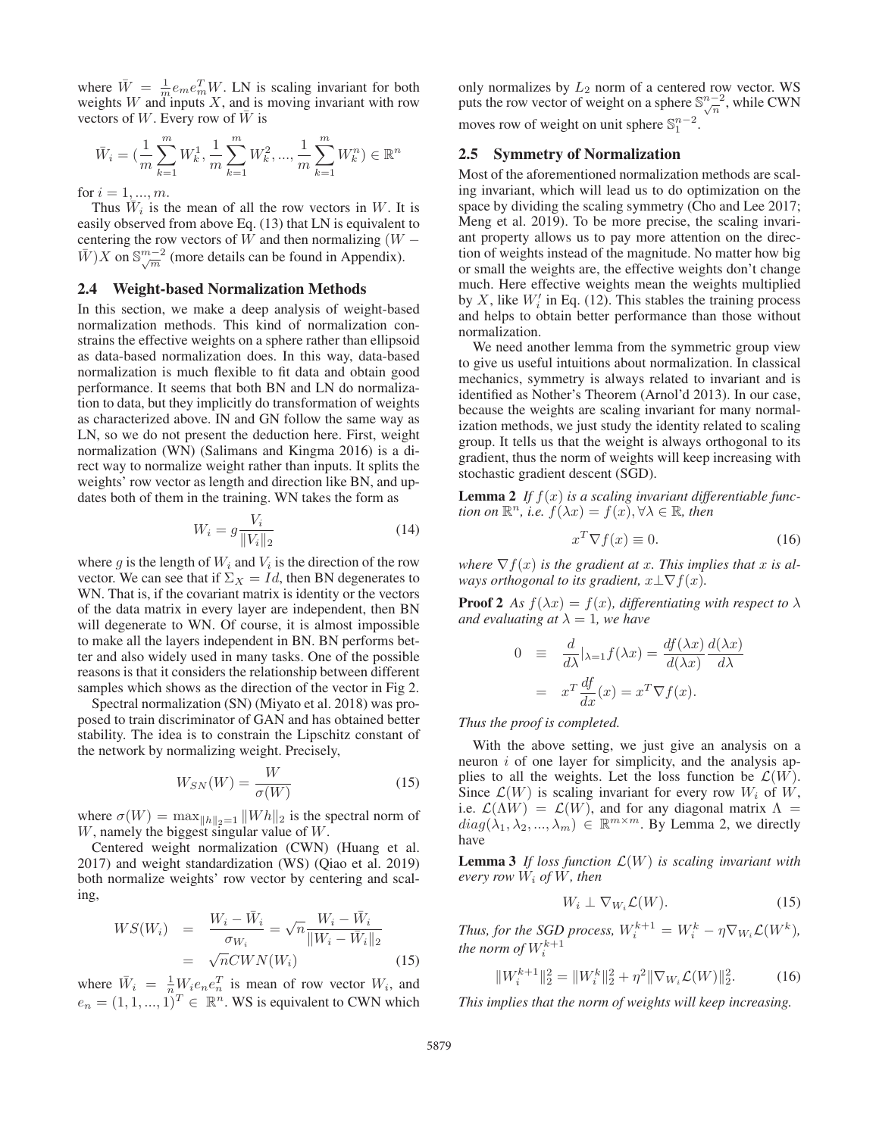where  $\bar{W} = \frac{1}{m} e_m e_m^T W$ . LN is scaling invariant for both weights W and inputs  $X$ , and is moving invariant with row vectors of  $W$ . Every row of  $W$  is

$$
\bar{W}_i = \left( \frac{1}{m} \sum_{k=1}^m W_k^1, \frac{1}{m} \sum_{k=1}^m W_k^2, \dots, \frac{1}{m} \sum_{k=1}^m W_k^n \right) \in \mathbb{R}^n
$$

for  $i = 1, ..., m$ .

Thus  $W_i$  is the mean of all the row vectors in W. It is easily observed from above Eq. (13) that LN is equivalent to centering the row vectors of W and then normalizing  $(W \bar{W}$ )X on  $\mathbb{S}_{\sqrt{m}}^{m-2}$  (more details can be found in Appendix).

#### 2.4 Weight-based Normalization Methods

In this section, we make a deep analysis of weight-based normalization methods. This kind of normalization constrains the effective weights on a sphere rather than ellipsoid as data-based normalization does. In this way, data-based normalization is much flexible to fit data and obtain good performance. It seems that both BN and LN do normalization to data, but they implicitly do transformation of weights as characterized above. IN and GN follow the same way as LN, so we do not present the deduction here. First, weight normalization (WN) (Salimans and Kingma 2016) is a direct way to normalize weight rather than inputs. It splits the weights' row vector as length and direction like BN, and updates both of them in the training. WN takes the form as

$$
W_i = g \frac{V_i}{\|V_i\|_2}
$$
 (14)

where g is the length of  $W_i$  and  $V_i$  is the direction of the row vector. We can see that if  $\Sigma_X = Id$ , then BN degenerates to WN. That is, if the covariant matrix is identity or the vectors of the data matrix in every layer are independent, then BN will degenerate to WN. Of course, it is almost impossible to make all the layers independent in BN. BN performs better and also widely used in many tasks. One of the possible reasons is that it considers the relationship between different samples which shows as the direction of the vector in Fig 2.

Spectral normalization (SN) (Miyato et al. 2018) was proposed to train discriminator of GAN and has obtained better stability. The idea is to constrain the Lipschitz constant of the network by normalizing weight. Precisely,

$$
W_{SN}(W) = \frac{W}{\sigma(W)}\tag{15}
$$

where  $\sigma(W) = \max_{\|h\|_2=1} \|Wh\|_2$  is the spectral norm of W, namely the biggest singular value of W.

Centered weight normalization (CWN) (Huang et al. 2017) and weight standardization (WS) (Qiao et al. 2019) both normalize weights' row vector by centering and scaling,

$$
WS(W_i) = \frac{W_i - \bar{W}_i}{\sigma_{W_i}} = \sqrt{n} \frac{W_i - \bar{W}_i}{\|W_i - \bar{W}_i\|_2}
$$

$$
= \sqrt{n} CW N(W_i)
$$
(15)

where  $\bar{W}_i = \frac{1}{n} W_i e_n e_n^T$  is mean of row vector  $W_i$ , and  $e_n = (1, 1, ..., 1)^T \in \mathbb{R}^n$ . WS is equivalent to CWN which only normalizes by  $L_2$  norm of a centered row vector. WS puts the row vector of weight on a sphere  $\mathbb{S}_{\sqrt{n}}^{n-2}$ , while CWN moves row of weight on unit sphere  $\mathbb{S}^{n-2}_1$ .

## 2.5 Symmetry of Normalization

Most of the aforementioned normalization methods are scaling invariant, which will lead us to do optimization on the space by dividing the scaling symmetry (Cho and Lee 2017; Meng et al. 2019). To be more precise, the scaling invariant property allows us to pay more attention on the direction of weights instead of the magnitude. No matter how big or small the weights are, the effective weights don't change much. Here effective weights mean the weights multiplied by X, like  $W_i'$  in Eq. (12). This stables the training process and helps to obtain better performance than those without normalization.

We need another lemma from the symmetric group view to give us useful intuitions about normalization. In classical mechanics, symmetry is always related to invariant and is identified as Nother's Theorem (Arnol'd 2013). In our case, because the weights are scaling invariant for many normalization methods, we just study the identity related to scaling group. It tells us that the weight is always orthogonal to its gradient, thus the norm of weights will keep increasing with stochastic gradient descent (SGD).

**Lemma 2** If  $f(x)$  is a scaling invariant differentiable func*tion on*  $\mathbb{R}^n$ *, i.e.*  $f(\lambda x) = f(x), \forall \lambda \in \mathbb{R}$ *, then* 

$$
x^T \nabla f(x) \equiv 0. \tag{16}
$$

*where*  $\nabla f(x)$  *is the gradient at x. This implies that* x *is always orthogonal to its gradient,*  $x \perp \nabla f(x)$ *.* 

**Proof 2** *As*  $f(\lambda x) = f(x)$ *, differentiating with respect to*  $\lambda$ *and evaluating at*  $\lambda = 1$ *, we have* 

$$
0 \equiv \frac{d}{d\lambda} |_{\lambda=1} f(\lambda x) = \frac{df(\lambda x)}{d(\lambda x)} \frac{d(\lambda x)}{d\lambda}
$$

$$
= x^T \frac{df}{dx}(x) = x^T \nabla f(x).
$$

*Thus the proof is completed.*

With the above setting, we just give an analysis on a neuron  $i$  of one layer for simplicity, and the analysis applies to all the weights. Let the loss function be  $\mathcal{L}(W)$ . Since  $\mathcal{L}(W)$  is scaling invariant for every row  $W_i$  of  $\dot{W}$ , i.e.  $\mathcal{L}(\Lambda W) = \mathcal{L}(W)$ , and for any diagonal matrix  $\Lambda =$  $diag(\lambda_1, \lambda_2, ..., \lambda_m) \in \mathbb{R}^{m \times m}$ . By Lemma 2, we directly have

Lemma 3 *If loss function* L(W) *is scaling invariant with every row*  $W_i$  *of*  $W$ *, then* 

$$
W_i \perp \nabla_{W_i} \mathcal{L}(W). \tag{15}
$$

*Thus, for the SGD process,*  $W_i^{k+1} = W_i^k - \eta \nabla_{W_i} \mathcal{L}(W^k)$ , the norm of  $W_i^{k+1}$ 

$$
||W_i^{k+1}||_2^2 = ||W_i^k||_2^2 + \eta^2 ||\nabla_{W_i} \mathcal{L}(W)||_2^2.
$$
 (16)

*This implies that the norm of weights will keep increasing.*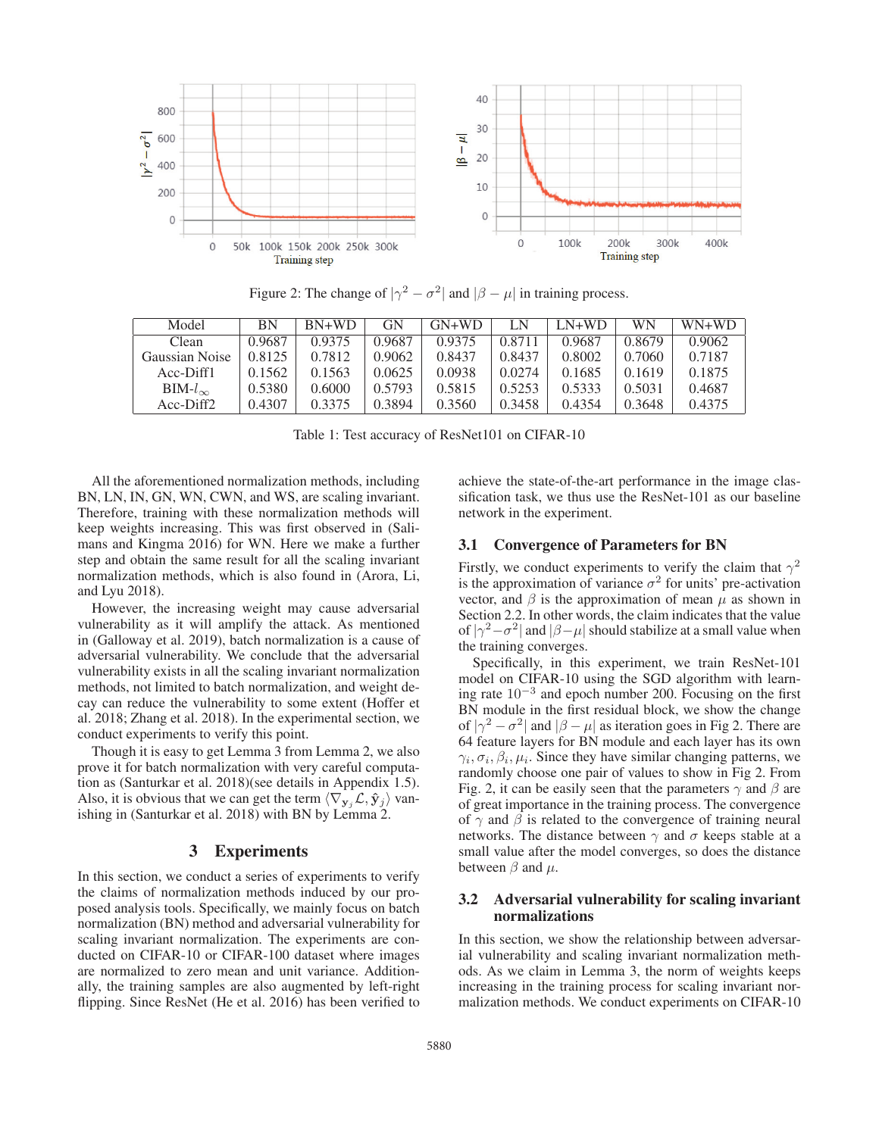

Figure 2: The change of  $|\gamma^2 - \sigma^2|$  and  $|\beta - \mu|$  in training process.

| Model            | ΒN     | $BN+WD$ | GN     | $GN+WD$ | I N    | $LN+WD$ | WN     | $WN+WD$ |
|------------------|--------|---------|--------|---------|--------|---------|--------|---------|
| Clean            | 0.9687 | 0.9375  | 0.9687 | 0.9375  | 0.8711 | 0.9687  | 0.8679 | 0.9062  |
| Gaussian Noise   | 0.8125 | 0.7812  | 0.9062 | 0.8437  | 0.8437 | 0.8002  | 0.7060 | 0.7187  |
| Acc-Diff1        | 0.1562 | 0.1563  | 0.0625 | 0.0938  | 0.0274 | 0.1685  | 0.1619 | 0.1875  |
| $BIM-l_{\infty}$ | 0.5380 | 0.6000  | 0.5793 | 0.5815  | 0.5253 | 0.5333  | 0.5031 | 0.4687  |
| $Acc-Diff2$      | 0.4307 | 0.3375  | 0.3894 | 0.3560  | 0.3458 | 0.4354  | 0.3648 | 0.4375  |

Table 1: Test accuracy of ResNet101 on CIFAR-10

All the aforementioned normalization methods, including BN, LN, IN, GN, WN, CWN, and WS, are scaling invariant. Therefore, training with these normalization methods will keep weights increasing. This was first observed in (Salimans and Kingma 2016) for WN. Here we make a further step and obtain the same result for all the scaling invariant normalization methods, which is also found in (Arora, Li, and Lyu 2018).

However, the increasing weight may cause adversarial vulnerability as it will amplify the attack. As mentioned in (Galloway et al. 2019), batch normalization is a cause of adversarial vulnerability. We conclude that the adversarial vulnerability exists in all the scaling invariant normalization methods, not limited to batch normalization, and weight decay can reduce the vulnerability to some extent (Hoffer et al. 2018; Zhang et al. 2018). In the experimental section, we conduct experiments to verify this point.

Though it is easy to get Lemma 3 from Lemma 2, we also prove it for batch normalization with very careful computation as (Santurkar et al. 2018)(see details in Appendix 1.5). Also, it is obvious that we can get the term  $\langle \nabla_{\mathbf{y}_i} \mathcal{L}, \hat{\mathbf{y}}_j \rangle$  vanishing in (Santurkar et al. 2018) with BN by Lemma 2.

# 3 Experiments

In this section, we conduct a series of experiments to verify the claims of normalization methods induced by our proposed analysis tools. Specifically, we mainly focus on batch normalization (BN) method and adversarial vulnerability for scaling invariant normalization. The experiments are conducted on CIFAR-10 or CIFAR-100 dataset where images are normalized to zero mean and unit variance. Additionally, the training samples are also augmented by left-right flipping. Since ResNet (He et al. 2016) has been verified to achieve the state-of-the-art performance in the image classification task, we thus use the ResNet-101 as our baseline network in the experiment.

## 3.1 Convergence of Parameters for BN

Firstly, we conduct experiments to verify the claim that  $\gamma^2$ is the approximation of variance  $\sigma^2$  for units' pre-activation vector, and  $\beta$  is the approximation of mean  $\mu$  as shown in Section 2.2. In other words, the claim indicates that the value of  $|\gamma^2 - \sigma^2|$  and  $|\beta - \mu|$  should stabilize at a small value when the training converges.

Specifically, in this experiment, we train ResNet-101 model on CIFAR-10 using the SGD algorithm with learning rate 10−<sup>3</sup> and epoch number 200. Focusing on the first BN module in the first residual block, we show the change of  $|\gamma^2 - \sigma^2|$  and  $|\beta - \mu|$  as iteration goes in Fig 2. There are 64 feature layers for BN module and each layer has its own  $\gamma_i, \sigma_i, \beta_i, \mu_i$ . Since they have similar changing patterns, we randomly choose one pair of values to show in Fig 2. From Fig. 2, it can be easily seen that the parameters  $\gamma$  and  $\beta$  are of great importance in the training process. The convergence of  $\gamma$  and  $\beta$  is related to the convergence of training neural networks. The distance between  $\gamma$  and  $\sigma$  keeps stable at a small value after the model converges, so does the distance between  $\beta$  and  $\mu$ .

# 3.2 Adversarial vulnerability for scaling invariant normalizations

In this section, we show the relationship between adversarial vulnerability and scaling invariant normalization methods. As we claim in Lemma 3, the norm of weights keeps increasing in the training process for scaling invariant normalization methods. We conduct experiments on CIFAR-10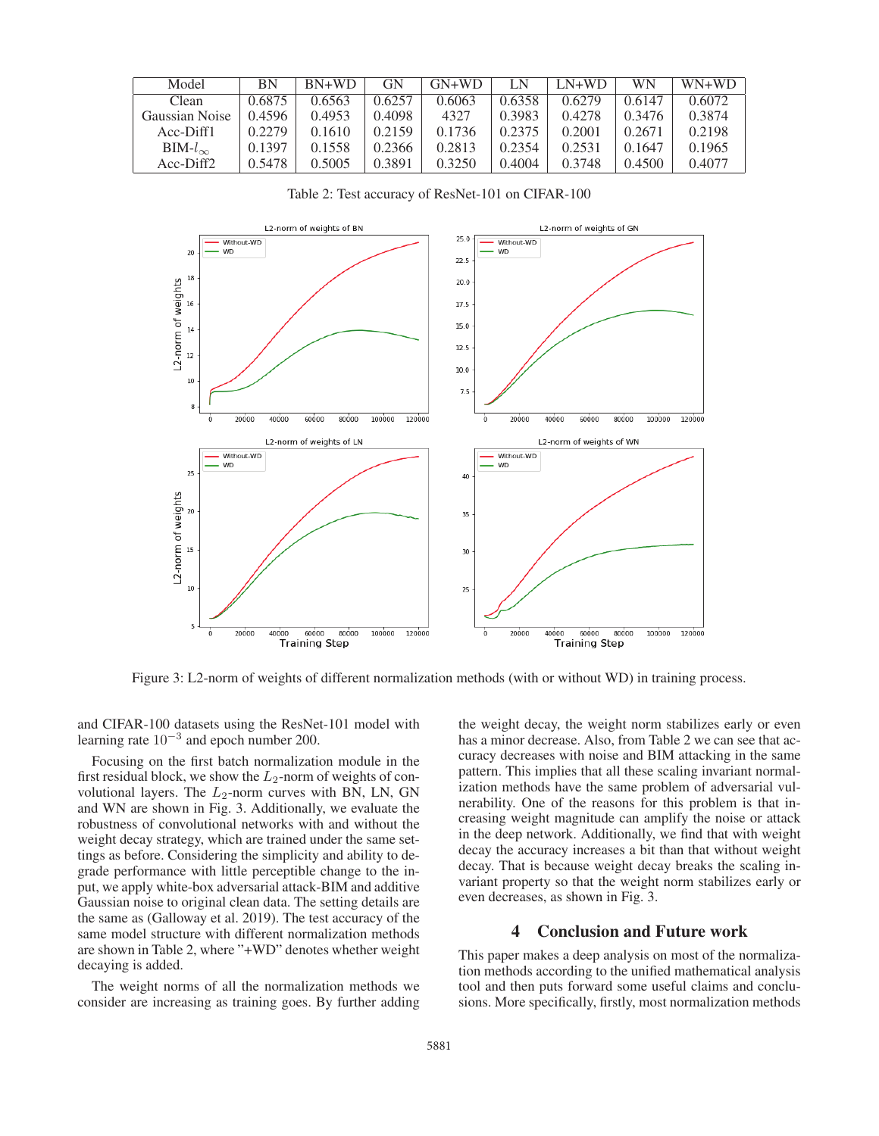| Model                 | ΒN     | $RN+WD$ | GN     | $GN+WD$ | LN     | $LN+WD$ | <b>WN</b> | $WN+WD$ |
|-----------------------|--------|---------|--------|---------|--------|---------|-----------|---------|
| Clean                 | 0.6875 | 0.6563  | 0.6257 | 0.6063  | 0.6358 | 0.6279  | 0.6147    | 0.6072  |
| Gaussian Noise        | 0.4596 | 0.4953  | 0.4098 | 4327    | 0.3983 | 0.4278  | 0.3476    | 0.3874  |
| $Acc-Diff1$           | 0.2279 | 0.1610  | 0.2159 | 0.1736  | 0.2375 | 0.2001  | 0.2671    | 0.2198  |
| $BIM-l_{\infty}$      | 0.1397 | 0.1558  | 0.2366 | 0.2813  | 0.2354 | 0.2531  | 0.1647    | 0.1965  |
| Acc-Diff <sub>2</sub> | 0.5478 | 0.5005  | 0.3891 | 0.3250  | 0.4004 | 0.3748  | 0.4500    | 0.4077  |

L2-norm of weights of BN L2-norm of weights of GN  $25.0$ Without-WD Without-WD  $_{20}$ **WD** WD  $22.5$ 18 L2-norm of weights  $20<sub>0</sub>$  $\overline{16}$  $17.5$  $15.0$  $\overline{14}$  $12.5$  $\frac{1}{2}$  $10.0$  $10$  $7.5$ 8 20000 40000 60000 80000 100000 120000 20000 40000 60000 80000 100000 120000 L2-norm of weights of WN L2-norm of weights of LN Without-WD Without-WD **WD WD**  $25$ 40 L2-norm of weights  $\overline{20}$ 35  $\overline{15}$ 30  $10$  $25$ 20000 100000 120000 20000 100000 120000 60000 80000 80000 40000 40000 60000 **Training Step Training Step** 

Table 2: Test accuracy of ResNet-101 on CIFAR-100

Figure 3: L2-norm of weights of different normalization methods (with or without WD) in training process.

and CIFAR-100 datasets using the ResNet-101 model with learning rate 10−<sup>3</sup> and epoch number 200.

Focusing on the first batch normalization module in the first residual block, we show the  $L_2$ -norm of weights of convolutional layers. The  $L_2$ -norm curves with BN, LN, GN and WN are shown in Fig. 3. Additionally, we evaluate the robustness of convolutional networks with and without the weight decay strategy, which are trained under the same settings as before. Considering the simplicity and ability to degrade performance with little perceptible change to the input, we apply white-box adversarial attack-BIM and additive Gaussian noise to original clean data. The setting details are the same as (Galloway et al. 2019). The test accuracy of the same model structure with different normalization methods are shown in Table 2, where "+WD" denotes whether weight decaying is added.

The weight norms of all the normalization methods we consider are increasing as training goes. By further adding the weight decay, the weight norm stabilizes early or even has a minor decrease. Also, from Table 2 we can see that accuracy decreases with noise and BIM attacking in the same pattern. This implies that all these scaling invariant normalization methods have the same problem of adversarial vulnerability. One of the reasons for this problem is that increasing weight magnitude can amplify the noise or attack in the deep network. Additionally, we find that with weight decay the accuracy increases a bit than that without weight decay. That is because weight decay breaks the scaling invariant property so that the weight norm stabilizes early or even decreases, as shown in Fig. 3.

# 4 Conclusion and Future work

This paper makes a deep analysis on most of the normalization methods according to the unified mathematical analysis tool and then puts forward some useful claims and conclusions. More specifically, firstly, most normalization methods